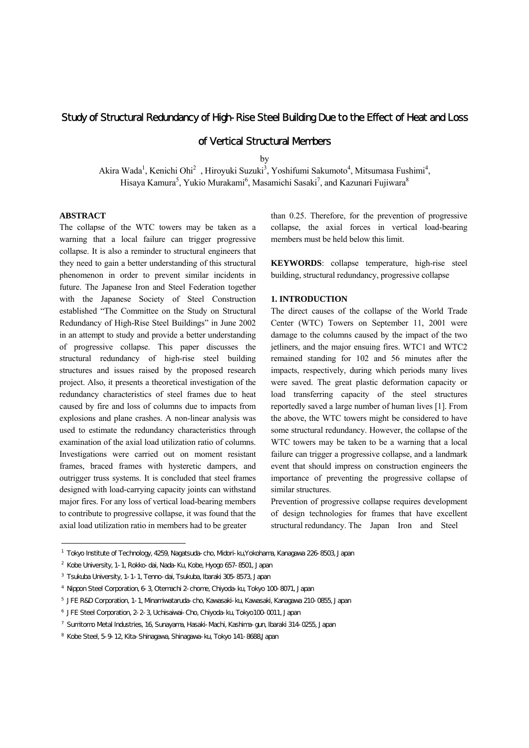# Study of Structural Redundancy of High-Rise Steel Building Due to the Effect of Heat and Loss

# of Vertical Structural Members

by

Akira Wada<sup>1</sup>, Kenichi Ohi<sup>2</sup>, Hiroyuki Suzuki<sup>3</sup>, Yoshifumi Sakumoto<sup>4</sup>, Mitsumasa Fushimi<sup>4</sup>, Hisaya Kamura $^5$ , Yukio Murakami $^6$ , Masamichi Sasaki $^7$ , and Kazunari Fujiwara $^8$ 

## **ABSTRACT**

l

The collapse of the WTC towers may be taken as a warning that a local failure can trigger progressive collapse. It is also a reminder to structural engineers that they need to gain a better understanding of this structural phenomenon in order to prevent similar incidents in future. The Japanese Iron and Steel Federation together with the Japanese Society of Steel Construction established "The Committee on the Study on Structural Redundancy of High-Rise Steel Buildings" in June 2002 in an attempt to study and provide a better understanding of progressive collapse. This paper discusses the structural redundancy of high-rise steel building structures and issues raised by the proposed research project. Also, it presents a theoretical investigation of the redundancy characteristics of steel frames due to heat caused by fire and loss of columns due to impacts from explosions and plane crashes. A non-linear analysis was used to estimate the redundancy characteristics through examination of the axial load utilization ratio of columns. Investigations were carried out on moment resistant frames, braced frames with hysteretic dampers, and outrigger truss systems. It is concluded that steel frames designed with load-carrying capacity joints can withstand major fires. For any loss of vertical load-bearing members to contribute to progressive collapse, it was found that the axial load utilization ratio in members had to be greater

than 0.25. Therefore, for the prevention of progressive collapse, the axial forces in vertical load-bearing members must be held below this limit.

**KEYWORDS**: collapse temperature, high-rise steel building, structural redundancy, progressive collapse

## **1. INTRODUCTION**

The direct causes of the collapse of the World Trade Center (WTC) Towers on September 11, 2001 were damage to the columns caused by the impact of the two jetliners, and the major ensuing fires. WTC1 and WTC2 remained standing for 102 and 56 minutes after the impacts, respectively, during which periods many lives were saved. The great plastic deformation capacity or load transferring capacity of the steel structures reportedly saved a large number of human lives [1]. From the above, the WTC towers might be considered to have some structural redundancy. However, the collapse of the WTC towers may be taken to be a warning that a local failure can trigger a progressive collapse, and a landmark event that should impress on construction engineers the importance of preventing the progressive collapse of similar structures.

Prevention of progressive collapse requires development of design technologies for frames that have excellent structural redundancy. The Japan Iron and Steel

<sup>1</sup> Tokyo Institute of Technology, 4259, Nagatsuda-cho, Midori-ku,Yokohama, Kanagawa 226-8503, Japan

<sup>2</sup> Kobe University, 1-1, Rokko-dai, Nada-Ku, Kobe, Hyogo 657-8501, Japan

<sup>3</sup> Tsukuba University, 1-1-1, Tenno-dai, Tsukuba, Ibaraki 305-8573, Japan

<sup>4</sup> Nippon Steel Corporation, 6-3, Otemachi 2-chome, Chiyoda-ku, Tokyo 100-8071, Japan

<sup>5</sup> JFE R&D Corporation, 1-1, Minamiwataruda-cho, Kawasaki-ku, Kawasaki, Kanagawa 210-0855, Japan

<sup>6</sup> JFE Steel Corporation, 2-2-3, Uchisaiwai-Cho, Chiyoda-ku, Tokyo100-0011, Japan

<sup>7</sup> Sumitomo Metal Industries, 16, Sunayama, Hasaki-Machi, Kashima-gun, Ibaraki 314-0255, Japan

<sup>8</sup> Kobe Steel, 5-9-12, Kita-Shinagawa, Shinagawa-ku, Tokyo 141-8688,Japan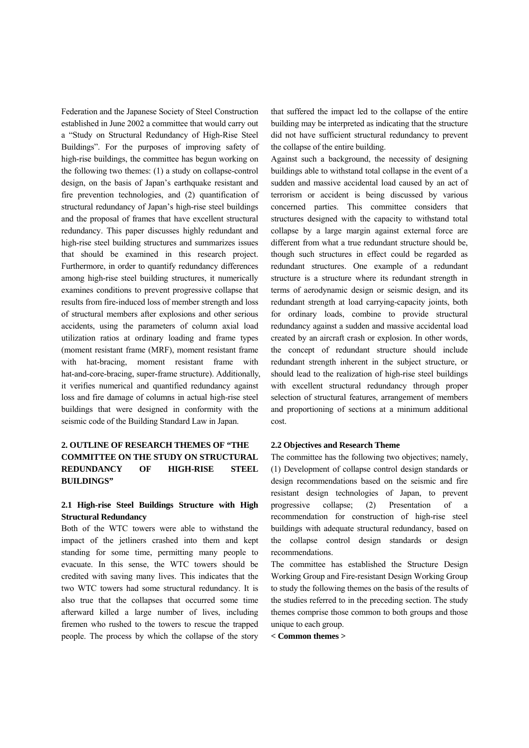Federation and the Japanese Society of Steel Construction established in June 2002 a committee that would carry out a "Study on Structural Redundancy of High-Rise Steel Buildings". For the purposes of improving safety of high-rise buildings, the committee has begun working on the following two themes: (1) a study on collapse-control design, on the basis of Japan's earthquake resistant and fire prevention technologies, and (2) quantification of structural redundancy of Japan's high-rise steel buildings and the proposal of frames that have excellent structural redundancy. This paper discusses highly redundant and high-rise steel building structures and summarizes issues that should be examined in this research project. Furthermore, in order to quantify redundancy differences among high-rise steel building structures, it numerically examines conditions to prevent progressive collapse that results from fire-induced loss of member strength and loss of structural members after explosions and other serious accidents, using the parameters of column axial load utilization ratios at ordinary loading and frame types (moment resistant frame (MRF), moment resistant frame with hat-bracing, moment resistant frame with hat-and-core-bracing, super-frame structure). Additionally, it verifies numerical and quantified redundancy against loss and fire damage of columns in actual high-rise steel buildings that were designed in conformity with the seismic code of the Building Standard Law in Japan.

# **2. OUTLINE OF RESEARCH THEMES OF "THE COMMITTEE ON THE STUDY ON STRUCTURAL REDUNDANCY OF HIGH-RISE STEEL BUILDINGS"**

# **2.1 High-rise Steel Buildings Structure with High Structural Redundancy**

Both of the WTC towers were able to withstand the impact of the jetliners crashed into them and kept standing for some time, permitting many people to evacuate. In this sense, the WTC towers should be credited with saving many lives. This indicates that the two WTC towers had some structural redundancy. It is also true that the collapses that occurred some time afterward killed a large number of lives, including firemen who rushed to the towers to rescue the trapped people. The process by which the collapse of the story

that suffered the impact led to the collapse of the entire building may be interpreted as indicating that the structure did not have sufficient structural redundancy to prevent the collapse of the entire building.

Against such a background, the necessity of designing buildings able to withstand total collapse in the event of a sudden and massive accidental load caused by an act of terrorism or accident is being discussed by various concerned parties. This committee considers that structures designed with the capacity to withstand total collapse by a large margin against external force are different from what a true redundant structure should be, though such structures in effect could be regarded as redundant structures. One example of a redundant structure is a structure where its redundant strength in terms of aerodynamic design or seismic design, and its redundant strength at load carrying-capacity joints, both for ordinary loads, combine to provide structural redundancy against a sudden and massive accidental load created by an aircraft crash or explosion. In other words, the concept of redundant structure should include redundant strength inherent in the subject structure, or should lead to the realization of high-rise steel buildings with excellent structural redundancy through proper selection of structural features, arrangement of members and proportioning of sections at a minimum additional cost.

### **2.2 Objectives and Research Theme**

The committee has the following two objectives; namely, (1) Development of collapse control design standards or design recommendations based on the seismic and fire resistant design technologies of Japan, to prevent progressive collapse; (2) Presentation of a recommendation for construction of high-rise steel buildings with adequate structural redundancy, based on the collapse control design standards or design recommendations.

The committee has established the Structure Design Working Group and Fire-resistant Design Working Group to study the following themes on the basis of the results of the studies referred to in the preceding section. The study themes comprise those common to both groups and those unique to each group.

**< Common themes >**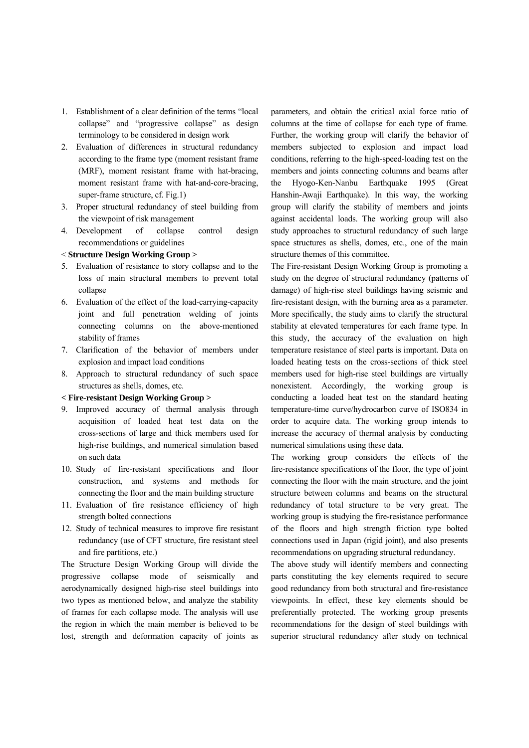- 1. Establishment of a clear definition of the terms "local collapse" and "progressive collapse" as design terminology to be considered in design work
- 2. Evaluation of differences in structural redundancy according to the frame type (moment resistant frame (MRF), moment resistant frame with hat-bracing, moment resistant frame with hat-and-core-bracing, super-frame structure, cf. Fig.1)
- 3. Proper structural redundancy of steel building from the viewpoint of risk management
- 4. Development of collapse control design recommendations or guidelines

### < **Structure Design Working Group >**

- 5. Evaluation of resistance to story collapse and to the loss of main structural members to prevent total collapse
- 6. Evaluation of the effect of the load-carrying-capacity joint and full penetration welding of joints connecting columns on the above-mentioned stability of frames
- 7. Clarification of the behavior of members under explosion and impact load conditions
- 8. Approach to structural redundancy of such space structures as shells, domes, etc.

#### **< Fire-resistant Design Working Group >**

- 9. Improved accuracy of thermal analysis through acquisition of loaded heat test data on the cross-sections of large and thick members used for high-rise buildings, and numerical simulation based on such data
- 10. Study of fire-resistant specifications and floor construction, and systems and methods for connecting the floor and the main building structure
- 11. Evaluation of fire resistance efficiency of high strength bolted connections
- 12. Study of technical measures to improve fire resistant redundancy (use of CFT structure, fire resistant steel and fire partitions, etc.)

The Structure Design Working Group will divide the progressive collapse mode of seismically and aerodynamically designed high-rise steel buildings into two types as mentioned below, and analyze the stability of frames for each collapse mode. The analysis will use the region in which the main member is believed to be lost, strength and deformation capacity of joints as parameters, and obtain the critical axial force ratio of columns at the time of collapse for each type of frame. Further, the working group will clarify the behavior of members subjected to explosion and impact load conditions, referring to the high-speed-loading test on the members and joints connecting columns and beams after the Hyogo-Ken-Nanbu Earthquake 1995 (Great Hanshin-Awaji Earthquake). In this way, the working group will clarify the stability of members and joints against accidental loads. The working group will also study approaches to structural redundancy of such large space structures as shells, domes, etc., one of the main structure themes of this committee.

The Fire-resistant Design Working Group is promoting a study on the degree of structural redundancy (patterns of damage) of high-rise steel buildings having seismic and fire-resistant design, with the burning area as a parameter. More specifically, the study aims to clarify the structural stability at elevated temperatures for each frame type. In this study, the accuracy of the evaluation on high temperature resistance of steel parts is important. Data on loaded heating tests on the cross-sections of thick steel members used for high-rise steel buildings are virtually nonexistent. Accordingly, the working group is conducting a loaded heat test on the standard heating temperature-time curve/hydrocarbon curve of ISO834 in order to acquire data. The working group intends to increase the accuracy of thermal analysis by conducting numerical simulations using these data.

The working group considers the effects of the fire-resistance specifications of the floor, the type of joint connecting the floor with the main structure, and the joint structure between columns and beams on the structural redundancy of total structure to be very great. The working group is studying the fire-resistance performance of the floors and high strength friction type bolted connections used in Japan (rigid joint), and also presents recommendations on upgrading structural redundancy.

The above study will identify members and connecting parts constituting the key elements required to secure good redundancy from both structural and fire-resistance viewpoints. In effect, these key elements should be preferentially protected. The working group presents recommendations for the design of steel buildings with superior structural redundancy after study on technical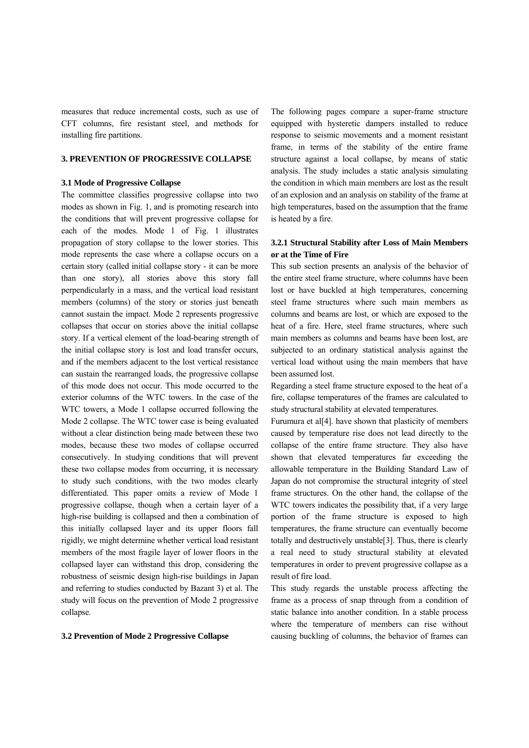measures that reduce incremental costs, such as use of CFT columns, fire resistant steel, and methods for installing fire partitions.

#### **3. PREVENTION OF PROGRESSIVE COLLAPSE**

# **3.1 Mode of Progressive Collapse**

The committee classifies progressive collapse into two modes as shown in Fig. 1, and is promoting research into the conditions that will prevent progressive collapse for each of the modes. Mode 1 of Fig. 1 illustrates propagation of story collapse to the lower stories. This mode represents the case where a collapse occurs on a certain story (called initial collapse story - it can be more than one story), all stories above this story fall perpendicularly in a mass, and the vertical load resistant members (columns) of the story or stories just beneath cannot sustain the impact. Mode 2 represents progressive collapses that occur on stories above the initial collapse story. If a vertical element of the load-bearing strength of the initial collapse story is lost and load transfer occurs, and if the members adjacent to the lost vertical resistance can sustain the rearranged loads, the progressive collapse of this mode does not occur. This mode occurred to the exterior columns of the WTC towers. In the case of the WTC towers, a Mode 1 collapse occurred following the Mode 2 collapse. The WTC tower case is being evaluated without a clear distinction being made between these two modes, because these two modes of collapse occurred consecutively. In studying conditions that will prevent these two collapse modes from occurring, it is necessary to study such conditions, with the two modes clearly differentiated. This paper omits a review of Mode 1 progressive collapse, though when a certain layer of a high-rise building is collapsed and then a combination of this initially collapsed layer and its upper floors fall rigidly, we might determine whether vertical load resistant members of the most fragile layer of lower floors in the collapsed layer can withstand this drop, considering the robustness of seismic design high-rise buildings in Japan and referring to studies conducted by Bazant 3) et al. The study will focus on the prevention of Mode 2 progressive collapse.

## **3.2 Prevention of Mode 2 Progressive Collapse**

The following pages compare a super-frame structure equipped with hysteretic dampers installed to reduce response to seismic movements and a moment resistant frame, in terms of the stability of the entire frame structure against a local collapse, by means of static analysis. The study includes a static analysis simulating the condition in which main members are lost as the result of an explosion and an analysis on stability of the frame at high temperatures, based on the assumption that the frame is heated by a fire.

# **3.2.1 Structural Stability after Loss of Main Members or at the Time of Fire**

This sub section presents an analysis of the behavior of the entire steel frame structure, where columns have been lost or have buckled at high temperatures, concerning steel frame structures where such main members as columns and beams are lost, or which are exposed to the heat of a fire. Here, steel frame structures, where such main members as columns and beams have been lost, are subjected to an ordinary statistical analysis against the vertical load without using the main members that have been assumed lost.

Regarding a steel frame structure exposed to the heat of a fire, collapse temperatures of the frames are calculated to study structural stability at elevated temperatures.

Furumura et al[4]. have shown that plasticity of members caused by temperature rise does not lead directly to the collapse of the entire frame structure. They also have shown that elevated temperatures far exceeding the allowable temperature in the Building Standard Law of Japan do not compromise the structural integrity of steel frame structures. On the other hand, the collapse of the WTC towers indicates the possibility that, if a very large portion of the frame structure is exposed to high temperatures, the frame structure can eventually become totally and destructively unstable[3]. Thus, there is clearly a real need to study structural stability at elevated temperatures in order to prevent progressive collapse as a result of fire load.

This study regards the unstable process affecting the frame as a process of snap through from a condition of static balance into another condition. In a stable process where the temperature of members can rise without causing buckling of columns, the behavior of frames can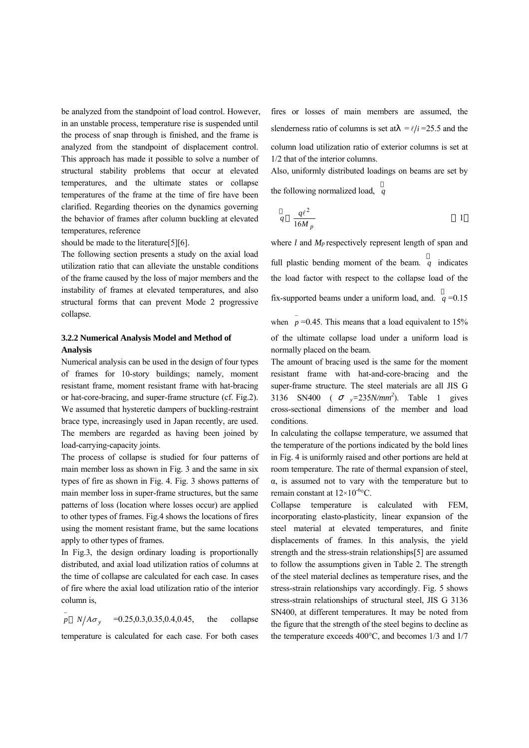be analyzed from the standpoint of load control. However, in an unstable process, temperature rise is suspended until the process of snap through is finished, and the frame is analyzed from the standpoint of displacement control. This approach has made it possible to solve a number of structural stability problems that occur at elevated temperatures, and the ultimate states or collapse temperatures of the frame at the time of fire have been clarified. Regarding theories on the dynamics governing the behavior of frames after column buckling at elevated temperatures, reference

should be made to the literature[5][6].

The following section presents a study on the axial load utilization ratio that can alleviate the unstable conditions of the frame caused by the loss of major members and the instability of frames at elevated temperatures, and also structural forms that can prevent Mode 2 progressive collapse.

## **3.2.2 Numerical Analysis Model and Method of Analysis**

Numerical analysis can be used in the design of four types of frames for 10-story buildings; namely, moment resistant frame, moment resistant frame with hat-bracing or hat-core-bracing, and super-frame structure (cf. Fig.2). We assumed that hysteretic dampers of buckling-restraint brace type, increasingly used in Japan recently, are used. The members are regarded as having been joined by load-carrying-capacity joints.

The process of collapse is studied for four patterns of main member loss as shown in Fig. 3 and the same in six types of fire as shown in Fig. 4. Fig. 3 shows patterns of main member loss in super-frame structures, but the same patterns of loss (location where losses occur) are applied to other types of frames. Fig.4 shows the locations of fires using the moment resistant frame, but the same locations apply to other types of frames.

In Fig.3, the design ordinary loading is proportionally distributed, and axial load utilization ratios of columns at the time of collapse are calculated for each case. In cases of fire where the axial load utilization ratio of the interior column is,

 $\bar{p}$  *N*/*A* $\sigma$ <sub>y</sub> = 0.25,0.3,0.35,0.4,0.45, the collapse temperature is calculated for each case. For both cases

fires or losses of main members are assumed, the slenderness ratio of columns is set at  $=$   $\ell$  *i* =25.5 and the column load utilization ratio of exterior columns is set at 1/2 that of the interior columns.

Also, uniformly distributed loadings on beams are set by the following normalized load, *q*

$$
q = \frac{q\ell^2}{16M_p}
$$

where *l* and  $M_p$  respectively represent length of span and full plastic bending moment of the beam. *q* indicates the load factor with respect to the collapse load of the

fix-supported beams under a uniform load, and.  $q = 0.15$ 

when  $\bar{p}$  =0.45. This means that a load equivalent to 15% of the ultimate collapse load under a uniform load is normally placed on the beam.

The amount of bracing used is the same for the moment resistant frame with hat-and-core-bracing and the super-frame structure. The steel materials are all JIS G 3136 SN400 (  $_v=235N/mm^2$ ). Table 1 gives cross-sectional dimensions of the member and load conditions.

In calculating the collapse temperature, we assumed that the temperature of the portions indicated by the bold lines in Fig. 4 is uniformly raised and other portions are held at room temperature. The rate of thermal expansion of steel,  $\alpha$ , is assumed not to vary with the temperature but to remain constant at  $12\times10^{-6}$ °C.

Collapse temperature is calculated with FEM, incorporating elasto-plasticity, linear expansion of the steel material at elevated temperatures, and finite displacements of frames. In this analysis, the yield strength and the stress-strain relationships[5] are assumed to follow the assumptions given in Table 2. The strength of the steel material declines as temperature rises, and the stress-strain relationships vary accordingly. Fig. 5 shows stress-strain relationships of structural steel, JIS G 3136 SN400, at different temperatures. It may be noted from the figure that the strength of the steel begins to decline as the temperature exceeds 400°C, and becomes 1/3 and 1/7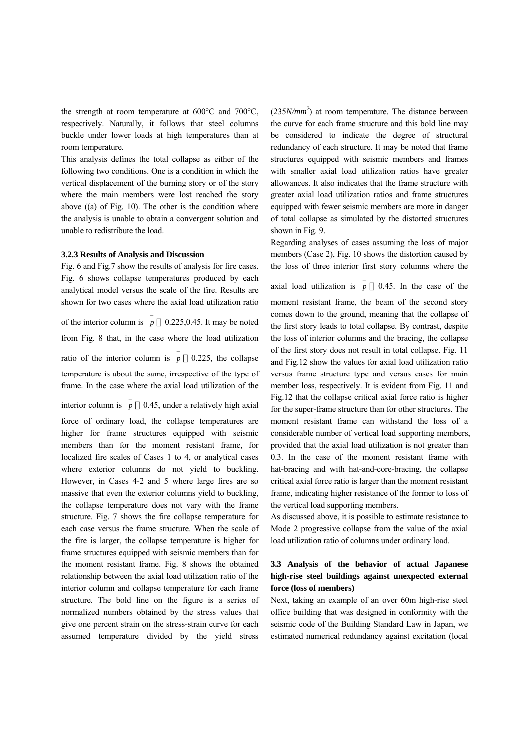the strength at room temperature at 600°C and 700°C, respectively. Naturally, it follows that steel columns buckle under lower loads at high temperatures than at room temperature.

This analysis defines the total collapse as either of the following two conditions. One is a condition in which the vertical displacement of the burning story or of the story where the main members were lost reached the story above ((a) of Fig. 10). The other is the condition where the analysis is unable to obtain a convergent solution and unable to redistribute the load.

#### **3.2.3 Results of Analysis and Discussion**

Fig. 6 and Fig.7 show the results of analysis for fire cases. Fig. 6 shows collapse temperatures produced by each analytical model versus the scale of the fire. Results are shown for two cases where the axial load utilization ratio of the interior column is  $\overline{p}$  0.225,0.45. It may be noted from Fig. 8 that, in the case where the load utilization ratio of the interior column is  $\bar{p}$  0.225, the collapse temperature is about the same, irrespective of the type of frame. In the case where the axial load utilization of the

interior column is  $\bar{p}$  0.45, under a relatively high axial force of ordinary load, the collapse temperatures are higher for frame structures equipped with seismic members than for the moment resistant frame, for localized fire scales of Cases 1 to 4, or analytical cases where exterior columns do not yield to buckling. However, in Cases 4-2 and 5 where large fires are so massive that even the exterior columns yield to buckling, the collapse temperature does not vary with the frame structure. Fig. 7 shows the fire collapse temperature for each case versus the frame structure. When the scale of the fire is larger, the collapse temperature is higher for frame structures equipped with seismic members than for the moment resistant frame. Fig. 8 shows the obtained relationship between the axial load utilization ratio of the interior column and collapse temperature for each frame structure. The bold line on the figure is a series of normalized numbers obtained by the stress values that give one percent strain on the stress-strain curve for each assumed temperature divided by the yield stress

 $(235N/mm<sup>2</sup>)$  at room temperature. The distance between the curve for each frame structure and this bold line may be considered to indicate the degree of structural redundancy of each structure. It may be noted that frame structures equipped with seismic members and frames with smaller axial load utilization ratios have greater allowances. It also indicates that the frame structure with greater axial load utilization ratios and frame structures equipped with fewer seismic members are more in danger of total collapse as simulated by the distorted structures shown in Fig. 9.

Regarding analyses of cases assuming the loss of major members (Case 2), Fig. 10 shows the distortion caused by the loss of three interior first story columns where the

axial load utilization is  $\bar{p}$  0.45. In the case of the moment resistant frame, the beam of the second story comes down to the ground, meaning that the collapse of the first story leads to total collapse. By contrast, despite the loss of interior columns and the bracing, the collapse of the first story does not result in total collapse. Fig. 11 and Fig.12 show the values for axial load utilization ratio versus frame structure type and versus cases for main member loss, respectively. It is evident from Fig. 11 and Fig.12 that the collapse critical axial force ratio is higher for the super-frame structure than for other structures. The moment resistant frame can withstand the loss of a considerable number of vertical load supporting members, provided that the axial load utilization is not greater than 0.3. In the case of the moment resistant frame with hat-bracing and with hat-and-core-bracing, the collapse critical axial force ratio is larger than the moment resistant frame, indicating higher resistance of the former to loss of the vertical load supporting members.

As discussed above, it is possible to estimate resistance to Mode 2 progressive collapse from the value of the axial load utilization ratio of columns under ordinary load.

# **3.3 Analysis of the behavior of actual Japanese high-rise steel buildings against unexpected external force (loss of members)**

Next, taking an example of an over 60m high-rise steel office building that was designed in conformity with the seismic code of the Building Standard Law in Japan, we estimated numerical redundancy against excitation (local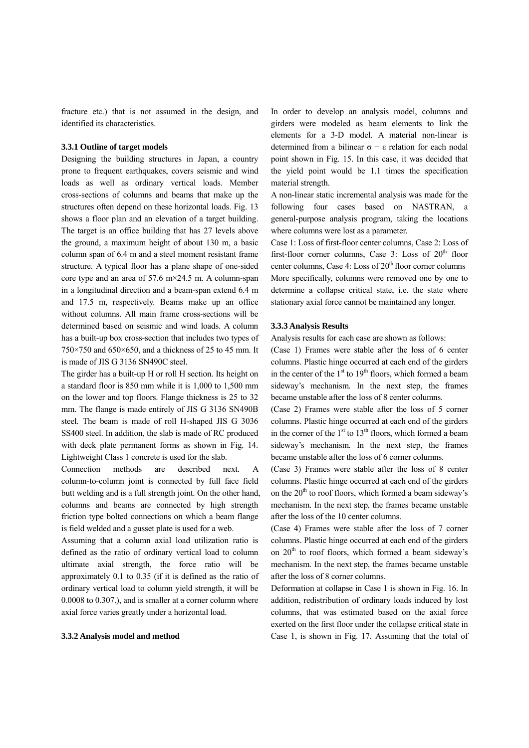fracture etc.) that is not assumed in the design, and identified its characteristics.

#### **3.3.1 Outline of target models**

Designing the building structures in Japan, a country prone to frequent earthquakes, covers seismic and wind loads as well as ordinary vertical loads. Member cross-sections of columns and beams that make up the structures often depend on these horizontal loads. Fig. 13 shows a floor plan and an elevation of a target building. The target is an office building that has 27 levels above the ground, a maximum height of about 130 m, a basic column span of 6.4 m and a steel moment resistant frame structure. A typical floor has a plane shape of one-sided core type and an area of  $57.6 \text{ m} \times 24.5 \text{ m}$ . A column-span in a longitudinal direction and a beam-span extend 6.4 m and 17.5 m, respectively. Beams make up an office without columns. All main frame cross-sections will be determined based on seismic and wind loads. A column has a built-up box cross-section that includes two types of 750×750 and 650×650, and a thickness of 25 to 45 mm. It is made of JIS G 3136 SN490C steel.

The girder has a built-up H or roll H section. Its height on a standard floor is 850 mm while it is 1,000 to 1,500 mm on the lower and top floors. Flange thickness is 25 to 32 mm. The flange is made entirely of JIS G 3136 SN490B steel. The beam is made of roll H-shaped JIS G 3036 SS400 steel. In addition, the slab is made of RC produced with deck plate permanent forms as shown in Fig. 14. Lightweight Class 1 concrete is used for the slab.

Connection methods are described next. A column-to-column joint is connected by full face field butt welding and is a full strength joint. On the other hand, columns and beams are connected by high strength friction type bolted connections on which a beam flange is field welded and a gusset plate is used for a web.

Assuming that a column axial load utilization ratio is defined as the ratio of ordinary vertical load to column ultimate axial strength, the force ratio will be approximately 0.1 to 0.35 (if it is defined as the ratio of ordinary vertical load to column yield strength, it will be 0.0008 to 0.307.), and is smaller at a corner column where axial force varies greatly under a horizontal load.

#### **3.3.2 Analysis model and method**

In order to develop an analysis model, columns and girders were modeled as beam elements to link the elements for a 3-D model. A material non-linear is determined from a bilinear σ − ε relation for each nodal point shown in Fig. 15. In this case, it was decided that the yield point would be 1.1 times the specification material strength.

A non-linear static incremental analysis was made for the following four cases based on NASTRAN, a general-purpose analysis program, taking the locations where columns were lost as a parameter.

Case 1: Loss of first-floor center columns, Case 2: Loss of first-floor corner columns, Case 3: Loss of  $20<sup>th</sup>$  floor center columns, Case 4: Loss of 20<sup>th</sup> floor corner columns More specifically, columns were removed one by one to determine a collapse critical state, i.e. the state where stationary axial force cannot be maintained any longer.

### **3.3.3 Analysis Results**

Analysis results for each case are shown as follows:

(Case 1) Frames were stable after the loss of 6 center columns. Plastic hinge occurred at each end of the girders in the center of the  $1<sup>st</sup>$  to  $19<sup>th</sup>$  floors, which formed a beam sideway's mechanism. In the next step, the frames became unstable after the loss of 8 center columns.

(Case 2) Frames were stable after the loss of 5 corner columns. Plastic hinge occurred at each end of the girders in the corner of the  $1<sup>st</sup>$  to  $13<sup>th</sup>$  floors, which formed a beam sideway's mechanism. In the next step, the frames became unstable after the loss of 6 corner columns.

(Case 3) Frames were stable after the loss of 8 center columns. Plastic hinge occurred at each end of the girders on the  $20<sup>th</sup>$  to roof floors, which formed a beam sideway's mechanism. In the next step, the frames became unstable after the loss of the 10 center columns.

(Case 4) Frames were stable after the loss of 7 corner columns. Plastic hinge occurred at each end of the girders on  $20<sup>th</sup>$  to roof floors, which formed a beam sideway's mechanism. In the next step, the frames became unstable after the loss of 8 corner columns.

Deformation at collapse in Case 1 is shown in Fig. 16. In addition, redistribution of ordinary loads induced by lost columns, that was estimated based on the axial force exerted on the first floor under the collapse critical state in Case 1, is shown in Fig. 17. Assuming that the total of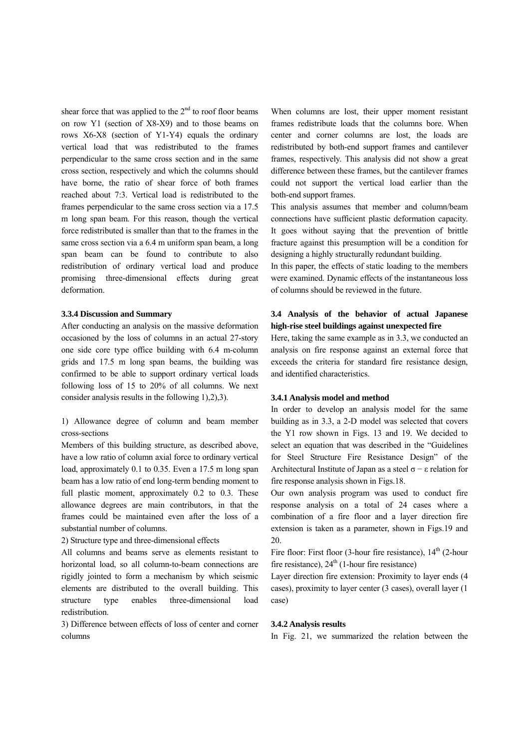shear force that was applied to the  $2<sup>nd</sup>$  to roof floor beams on row Y1 (section of X8-X9) and to those beams on rows X6-X8 (section of Y1-Y4) equals the ordinary vertical load that was redistributed to the frames perpendicular to the same cross section and in the same cross section, respectively and which the columns should have borne, the ratio of shear force of both frames reached about 7:3. Vertical load is redistributed to the frames perpendicular to the same cross section via a 17.5 m long span beam. For this reason, though the vertical force redistributed is smaller than that to the frames in the same cross section via a 6.4 m uniform span beam, a long span beam can be found to contribute to also redistribution of ordinary vertical load and produce promising three-dimensional effects during great deformation.

#### **3.3.4 Discussion and Summary**

After conducting an analysis on the massive deformation occasioned by the loss of columns in an actual 27-story one side core type office building with 6.4 m-column grids and 17.5 m long span beams, the building was confirmed to be able to support ordinary vertical loads following loss of 15 to 20% of all columns. We next consider analysis results in the following 1),2),3).

1) Allowance degree of column and beam member cross-sections

Members of this building structure, as described above, have a low ratio of column axial force to ordinary vertical load, approximately 0.1 to 0.35. Even a 17.5 m long span beam has a low ratio of end long-term bending moment to full plastic moment, approximately 0.2 to 0.3. These allowance degrees are main contributors, in that the frames could be maintained even after the loss of a substantial number of columns.

2) Structure type and three-dimensional effects

All columns and beams serve as elements resistant to horizontal load, so all column-to-beam connections are rigidly jointed to form a mechanism by which seismic elements are distributed to the overall building. This structure type enables three-dimensional load redistribution.

3) Difference between effects of loss of center and corner columns

When columns are lost, their upper moment resistant frames redistribute loads that the columns bore. When center and corner columns are lost, the loads are redistributed by both-end support frames and cantilever frames, respectively. This analysis did not show a great difference between these frames, but the cantilever frames could not support the vertical load earlier than the both-end support frames.

This analysis assumes that member and column/beam connections have sufficient plastic deformation capacity. It goes without saying that the prevention of brittle fracture against this presumption will be a condition for designing a highly structurally redundant building.

In this paper, the effects of static loading to the members were examined. Dynamic effects of the instantaneous loss of columns should be reviewed in the future.

# **3.4 Analysis of the behavior of actual Japanese high-rise steel buildings against unexpected fire**

Here, taking the same example as in 3.3, we conducted an analysis on fire response against an external force that exceeds the criteria for standard fire resistance design, and identified characteristics.

## **3.4.1 Analysis model and method**

In order to develop an analysis model for the same building as in 3.3, a 2-D model was selected that covers the Y1 row shown in Figs. 13 and 19. We decided to select an equation that was described in the "Guidelines for Steel Structure Fire Resistance Design" of the Architectural Institute of Japan as a steel  $\sigma$  – ε relation for fire response analysis shown in Figs.18.

Our own analysis program was used to conduct fire response analysis on a total of 24 cases where a combination of a fire floor and a layer direction fire extension is taken as a parameter, shown in Figs.19 and 20.

Fire floor: First floor (3-hour fire resistance),  $14<sup>th</sup>$  (2-hour fire resistance),  $24<sup>th</sup>$  (1-hour fire resistance)

Layer direction fire extension: Proximity to layer ends (4 cases), proximity to layer center (3 cases), overall layer (1 case)

#### **3.4.2 Analysis results**

In Fig. 21, we summarized the relation between the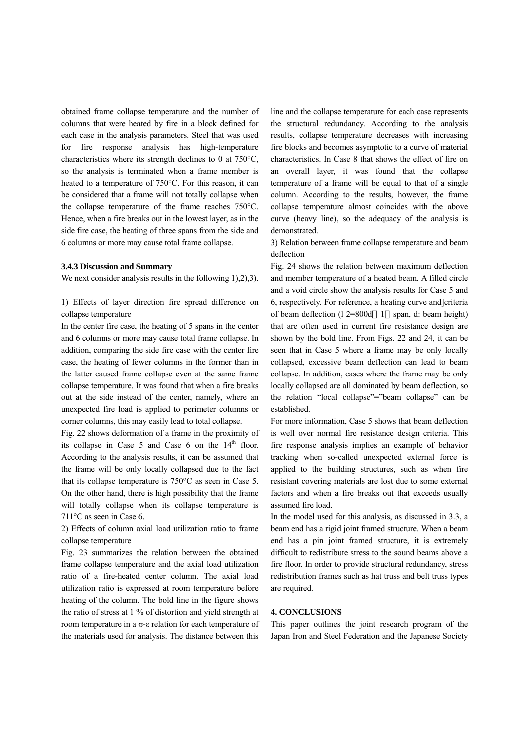obtained frame collapse temperature and the number of columns that were heated by fire in a block defined for each case in the analysis parameters. Steel that was used for fire response analysis has high-temperature characteristics where its strength declines to 0 at 750°C, so the analysis is terminated when a frame member is heated to a temperature of 750°C. For this reason, it can be considered that a frame will not totally collapse when the collapse temperature of the frame reaches 750°C. Hence, when a fire breaks out in the lowest layer, as in the side fire case, the heating of three spans from the side and 6 columns or more may cause total frame collapse.

#### **3.4.3 Discussion and Summary**

We next consider analysis results in the following 1, 2, 2, 3).

1) Effects of layer direction fire spread difference on collapse temperature

In the center fire case, the heating of 5 spans in the center and 6 columns or more may cause total frame collapse. In addition, comparing the side fire case with the center fire case, the heating of fewer columns in the former than in the latter caused frame collapse even at the same frame collapse temperature. It was found that when a fire breaks out at the side instead of the center, namely, where an unexpected fire load is applied to perimeter columns or corner columns, this may easily lead to total collapse.

Fig. 22 shows deformation of a frame in the proximity of its collapse in Case  $5$  and Case  $6$  on the  $14<sup>th</sup>$  floor. According to the analysis results, it can be assumed that the frame will be only locally collapsed due to the fact that its collapse temperature is 750°C as seen in Case 5. On the other hand, there is high possibility that the frame will totally collapse when its collapse temperature is 711°C as seen in Case 6.

2) Effects of column axial load utilization ratio to frame collapse temperature

Fig. 23 summarizes the relation between the obtained frame collapse temperature and the axial load utilization ratio of a fire-heated center column. The axial load utilization ratio is expressed at room temperature before heating of the column. The bold line in the figure shows the ratio of stress at 1 % of distortion and yield strength at room temperature in a σ-ε relation for each temperature of the materials used for analysis. The distance between this

line and the collapse temperature for each case represents the structural redundancy. According to the analysis results, collapse temperature decreases with increasing fire blocks and becomes asymptotic to a curve of material characteristics. In Case 8 that shows the effect of fire on an overall layer, it was found that the collapse temperature of a frame will be equal to that of a single column. According to the results, however, the frame collapse temperature almost coincides with the above curve (heavy line), so the adequacy of the analysis is demonstrated.

3) Relation between frame collapse temperature and beam deflection

Fig. 24 shows the relation between maximum deflection and member temperature of a heated beam. A filled circle and a void circle show the analysis results for Case 5 and 6, respectively. For reference, a heating curve and]criteria of beam deflection (l 2=800d 1 span, d: beam height) that are often used in current fire resistance design are shown by the bold line. From Figs. 22 and 24, it can be seen that in Case 5 where a frame may be only locally collapsed, excessive beam deflection can lead to beam collapse. In addition, cases where the frame may be only locally collapsed are all dominated by beam deflection, so the relation "local collapse"="beam collapse" can be established.

For more information, Case 5 shows that beam deflection is well over normal fire resistance design criteria. This fire response analysis implies an example of behavior tracking when so-called unexpected external force is applied to the building structures, such as when fire resistant covering materials are lost due to some external factors and when a fire breaks out that exceeds usually assumed fire load.

In the model used for this analysis, as discussed in 3.3, a beam end has a rigid joint framed structure. When a beam end has a pin joint framed structure, it is extremely difficult to redistribute stress to the sound beams above a fire floor. In order to provide structural redundancy, stress redistribution frames such as hat truss and belt truss types are required.

#### **4. CONCLUSIONS**

This paper outlines the joint research program of the Japan Iron and Steel Federation and the Japanese Society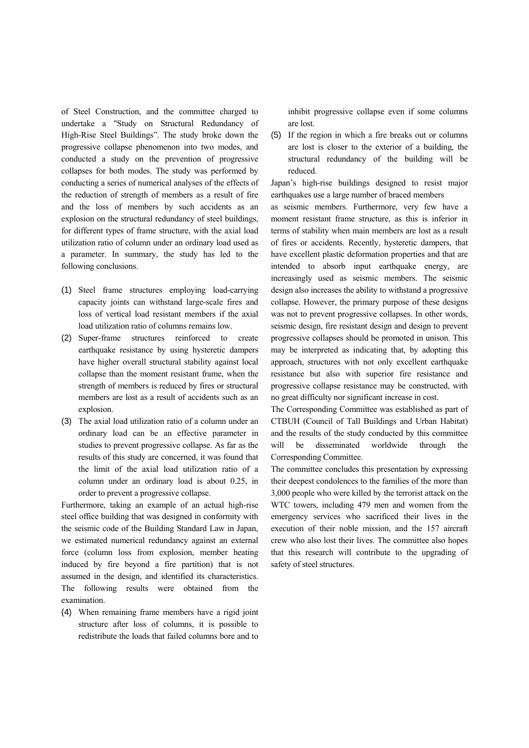of Steel Construction, and the committee charged to undertake a "Study on Structural Redundancy of High-Rise Steel Buildings". The study broke down the progressive collapse phenomenon into two modes, and conducted a study on the prevention of progressive collapses for both modes. The study was performed by conducting a series of numerical analyses of the effects of the reduction of strength of members as a result of fire and the loss of members by such accidents as an explosion on the structural redundancy of steel buildings, for different types of frame structure, with the axial load utilization ratio of column under an ordinary load used as a parameter. In summary, the study has led to the following conclusions.

- (1) Steel frame structures employing load-carrying capacity joints can withstand large-scale fires and loss of vertical load resistant members if the axial load utilization ratio of columns remains low.
- (2) Super-frame structures reinforced to create earthquake resistance by using hysteretic dampers have higher overall structural stability against local collapse than the moment resistant frame, when the strength of members is reduced by fires or structural members are lost as a result of accidents such as an explosion.
- (3) The axial load utilization ratio of a column under an ordinary load can be an effective parameter in studies to prevent progressive collapse. As far as the results of this study are concerned, it was found that the limit of the axial load utilization ratio of a column under an ordinary load is about 0.25, in order to prevent a progressive collapse.

Furthermore, taking an example of an actual high-rise steel office building that was designed in conformity with the seismic code of the Building Standard Law in Japan, we estimated numerical redundancy against an external force (column loss from explosion, member heating induced by fire beyond a fire partition) that is not assumed in the design, and identified its characteristics. The following results were obtained from the examination.

(4) When remaining frame members have a rigid joint structure after loss of columns, it is possible to redistribute the loads that failed columns bore and to

inhibit progressive collapse even if some columns are lost.

(5) If the region in which a fire breaks out or columns are lost is closer to the exterior of a building, the structural redundancy of the building will be reduced.

Japan's high-rise buildings designed to resist major earthquakes use a large number of braced members

as seismic members. Furthermore, very few have a moment resistant frame structure, as this is inferior in terms of stability when main members are lost as a result of fires or accidents. Recently, hysteretic dampers, that have excellent plastic deformation properties and that are intended to absorb input earthquake energy, are increasingly used as seismic members. The seismic design also increases the ability to withstand a progressive collapse. However, the primary purpose of these designs was not to prevent progressive collapses. In other words, seismic design, fire resistant design and design to prevent progressive collapses should be promoted in unison. This may be interpreted as indicating that, by adopting this approach, structures with not only excellent earthquake resistance but also with superior fire resistance and progressive collapse resistance may be constructed, with no great difficulty nor significant increase in cost.

The Corresponding Committee was established as part of CTBUH (Council of Tall Buildings and Urban Habitat) and the results of the study conducted by this committee will be disseminated worldwide through the Corresponding Committee.

The committee concludes this presentation by expressing their deepest condolences to the families of the more than 3,000 people who were killed by the terrorist attack on the WTC towers, including 479 men and women from the emergency services who sacrificed their lives in the execution of their noble mission, and the 157 aircraft crew who also lost their lives. The committee also hopes that this research will contribute to the upgrading of safety of steel structures.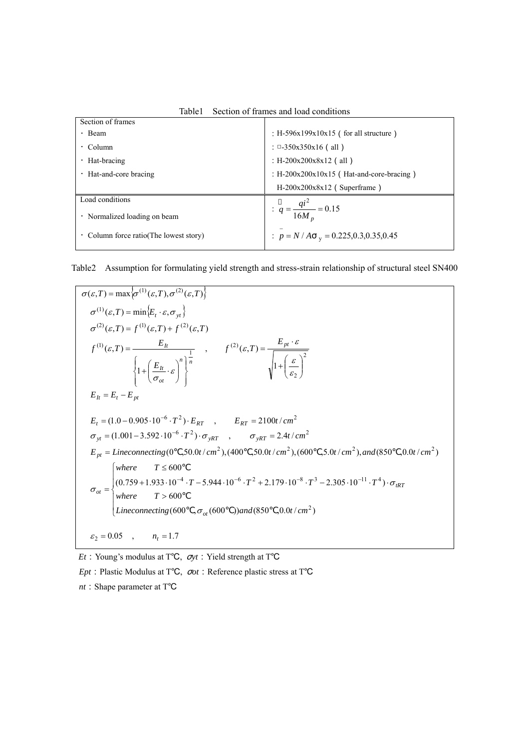| Section of frames                         |                                             |
|-------------------------------------------|---------------------------------------------|
| $\cdot$ Beam                              | : H-596x199x10x15 (for all structure)       |
| $\cdot$ Column                            | : $\Box$ -350x350x16 (all)                  |
| $\cdot$ Hat-bracing                       | : H-200x200x8x12 (all)                      |
| Hat-and-core bracing                      | : $H-200x200x10x15$ (Hat-and-core-bracing)  |
|                                           | $H-200x200x8x12$ (Superframe)               |
| Load conditions                           |                                             |
| Normalized loading on beam                | $q = \frac{qi^2}{16M_n} = 0.15$             |
| Column force ratio(The lowest story)<br>٠ | : $p = N/A$ $_{v} = 0.225, 0.3, 0.35, 0.45$ |

Table1 Section of frames and load conditions

Table2 Assumption for formulating yield strength and stress-strain relationship of structural steel SN400

$$
\sigma(\varepsilon, T) = \max \{\sigma^{(1)}(\varepsilon, T), \sigma^{(2)}(\varepsilon, T)\}
$$
\n
$$
\sigma^{(1)}(\varepsilon, T) = \min \{E_t \cdot \varepsilon, \sigma_{yt}\}
$$
\n
$$
\sigma^{(2)}(\varepsilon, T) = f^{(1)}(\varepsilon, T) + f^{(2)}(\varepsilon, T)
$$
\n
$$
f^{(1)}(\varepsilon, T) = \frac{E_h}{\left\{1 + \left(\frac{E_h}{\sigma_{ot}} \cdot \varepsilon\right)^n\right\}^{\frac{1}{n}}}, \qquad f^{(2)}(\varepsilon, T) = \frac{E_{pt} \cdot \varepsilon}{\sqrt{1 + \left(\frac{\varepsilon}{\varepsilon_2}\right)^2}}
$$
\n
$$
E_h = E_t - E_{pt}
$$
\n
$$
E_t = (1.0 - 0.905 \cdot 10^{-6} \cdot T^2) \cdot E_{RT}, \qquad E_{RT} = 2100t/cm^2
$$
\n
$$
\sigma_{yt} = (1.001 - 3.592 \cdot 10^{-6} \cdot T^2) \cdot \sigma_{yRT}, \qquad \sigma_{yRT} = 2.4t/cm^2
$$
\n
$$
E_{pt} = \text{Lineconnecting}(0, 50.0t/cm^2), (400, 50.0t/cm^2), (600, 5.0t/cm^2), and (850, 0.0t/cm^2)
$$
\n
$$
\begin{cases}\n\text{where} & T \le 600 \\
(0.759 + 1.933 \cdot 10^{-4} \cdot T - 5.944 \cdot 10^{-6} \cdot T^2 + 2.179 \cdot 10^{-8} \cdot T^3 - 2.305 \cdot 10^{-11} \cdot T^4) \cdot \sigma_{tRT} \\
\text{where} & T > 600\n\end{cases}
$$
\n
$$
\sigma_{gt} = \begin{cases}\n0.05 & n_t = 1.7 \\
\text{where} & T \le 600\n\end{cases}
$$

*Et*:Young's modulus at T℃, σ*yt*:Yield strength at T℃

*Ept*: Plastic Modulus at T°C,  $\sigma$ *ot*: Reference plastic stress at T°C

*nt* : Shape parameter at T°C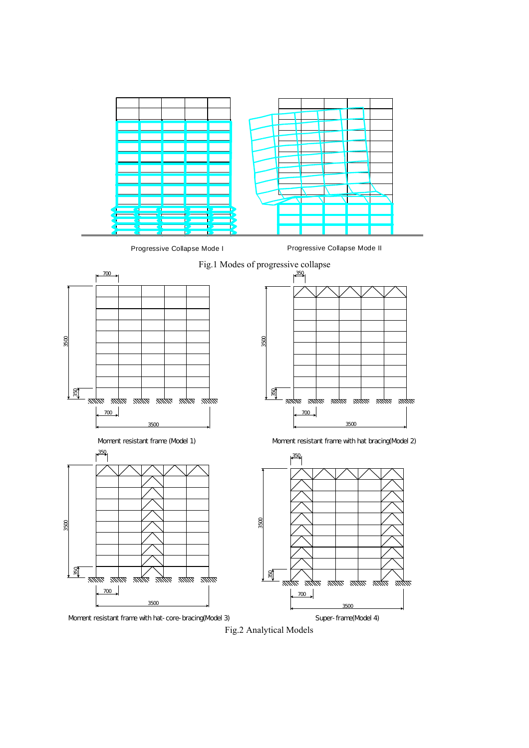

Fig.2 Analytical Models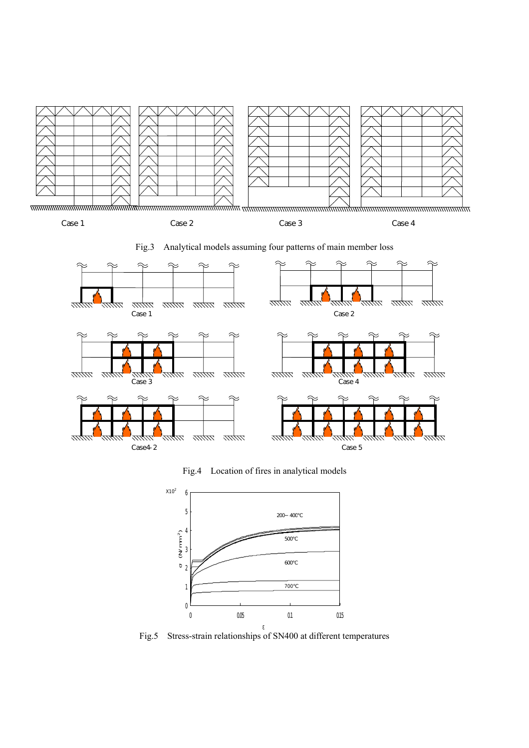

Fig.3 Analytical models assuming four patterns of main member loss



Fig.4 Location of fires in analytical models



Fig.5 Stress-strain relationships of SN400 at different temperatures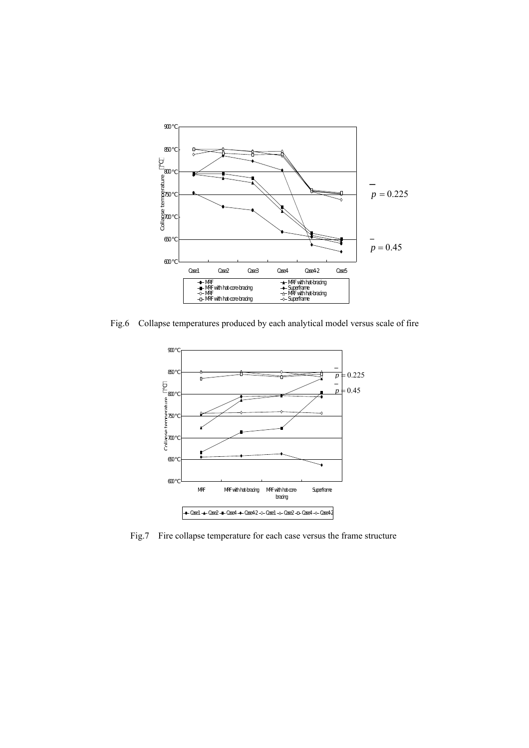

Fig.6 Collapse temperatures produced by each analytical model versus scale of fire



Fig.7 Fire collapse temperature for each case versus the frame structure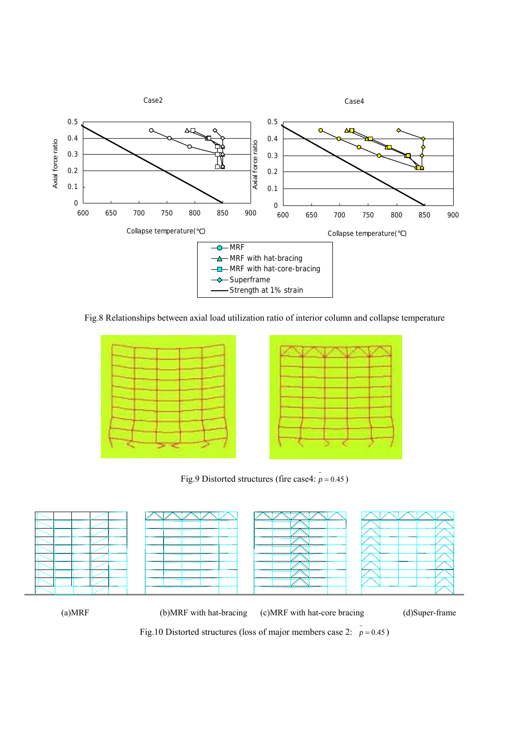

Fig.8 Relationships between axial load utilization ratio of interior column and collapse temperature





Fig.9 Distorted structures (fire case4:  $\bar{p} = 0.45$ )



(a)MRF (b)MRF with hat-bracing (c)MRF with hat-core bracing (d)Super-frame

Fig.10 Distorted structures (loss of major members case 2:  $\bar{p} = 0.45$ )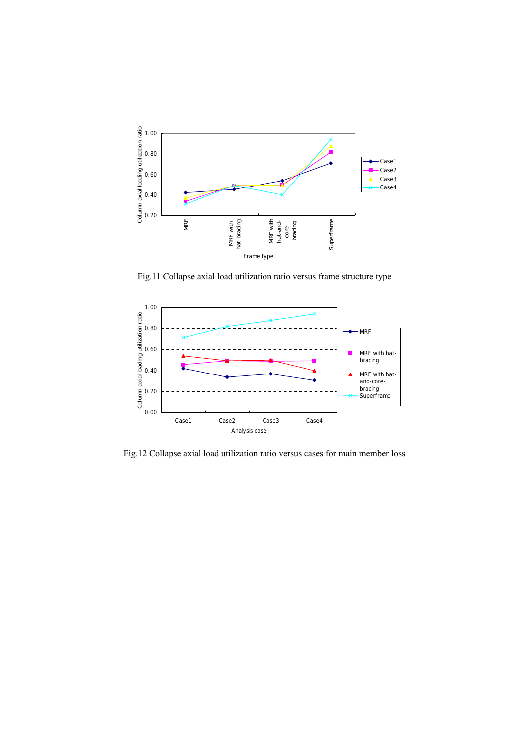

Fig.11 Collapse axial load utilization ratio versus frame structure type



Fig.12 Collapse axial load utilization ratio versus cases for main member loss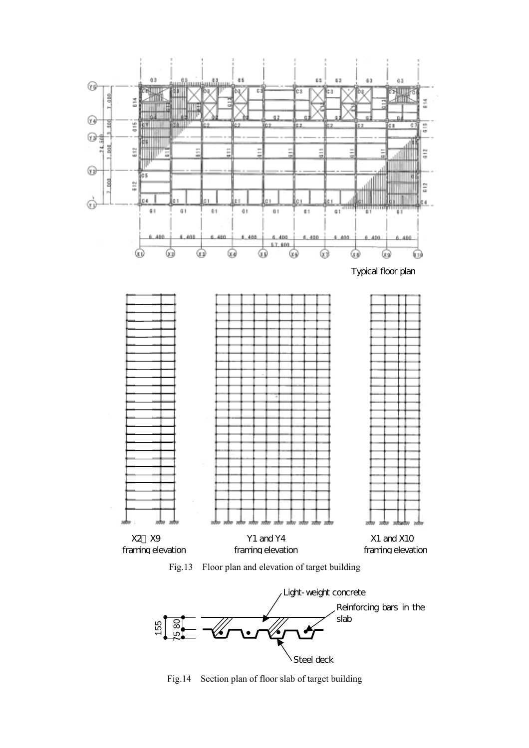





Fig.14 Section plan of floor slab of target building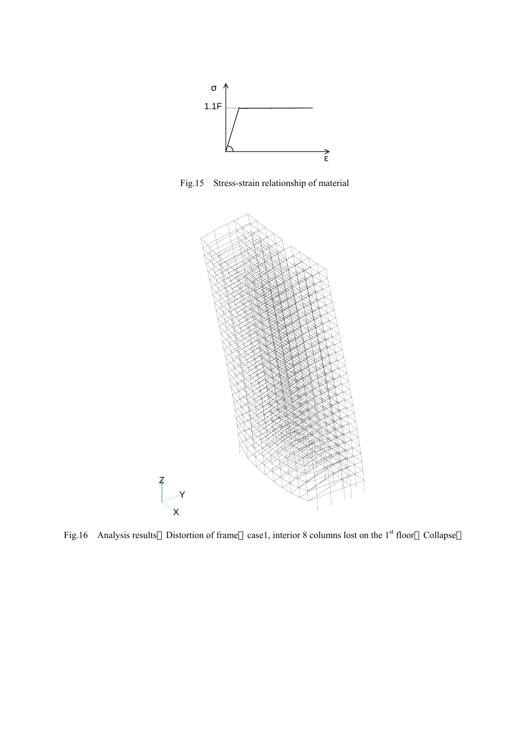

Fig.15 Stress-strain relationship of material



Fig.16 Analysis results Distortion of frame case1, interior 8 columns lost on the 1<sup>st</sup> floor Collapse

Z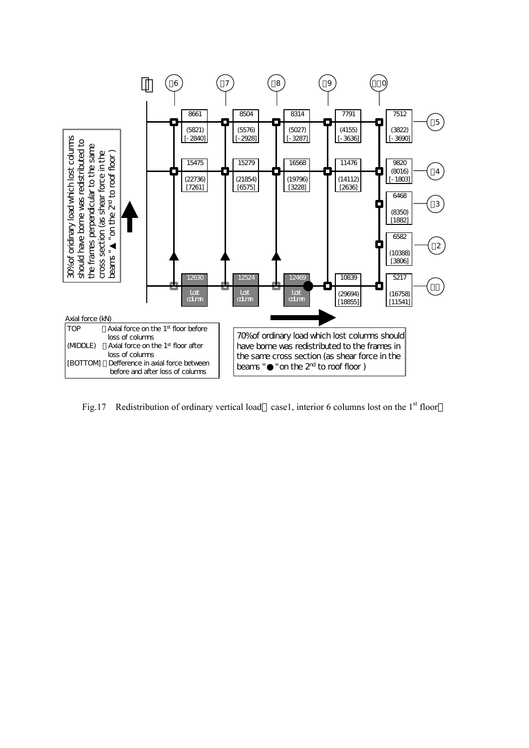

Fig.17 Redistribution of ordinary vertical load case1, interior 6 columns lost on the 1<sup>st</sup> floor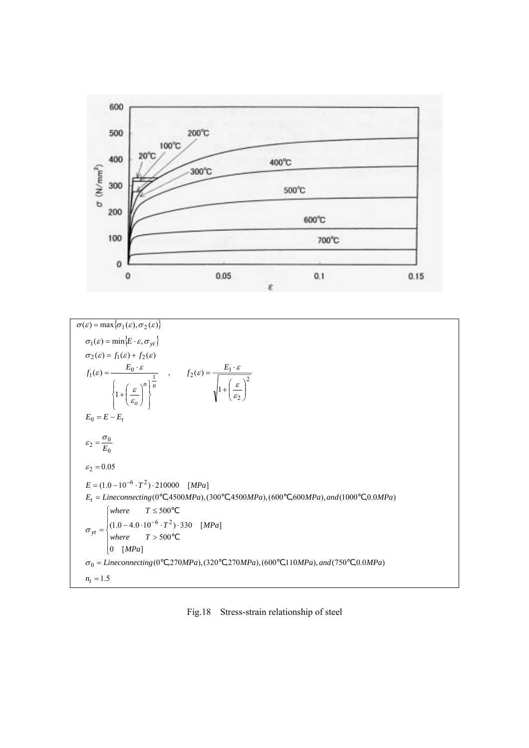



Fig.18 Stress-strain relationship of steel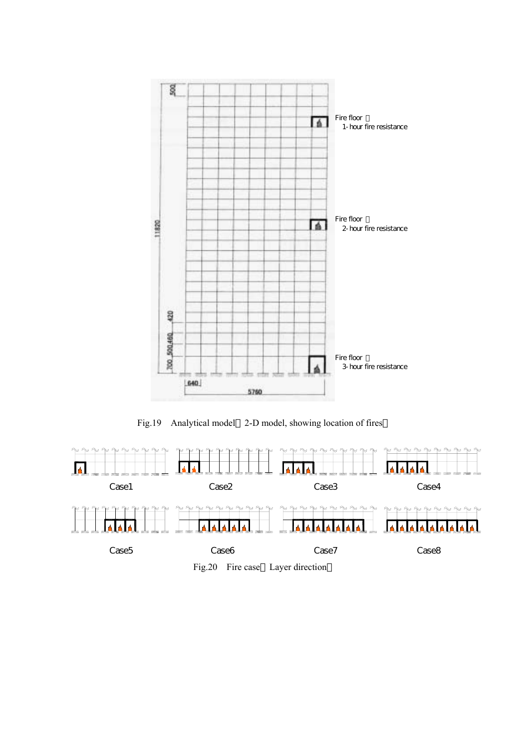

Fig.19 Analytical model 2-D model, showing location of fires



Fig.20 Fire case Layer direction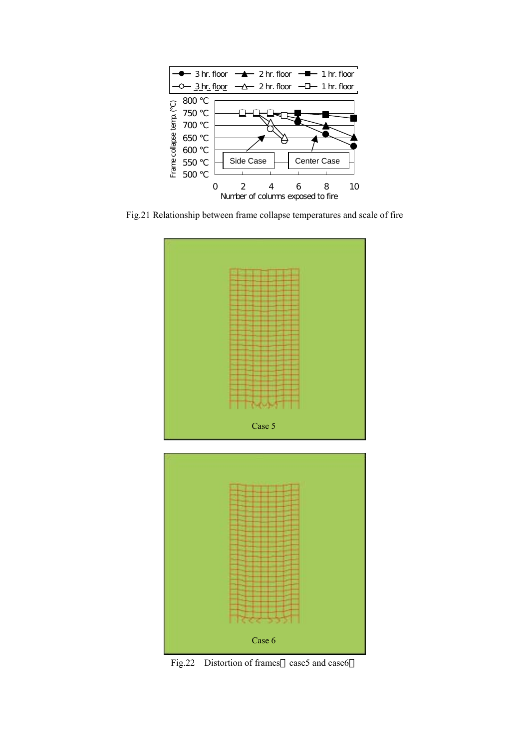

Fig.21 Relationship between frame collapse temperatures and scale of fire





Fig.22 Distortion of frames case5 and case6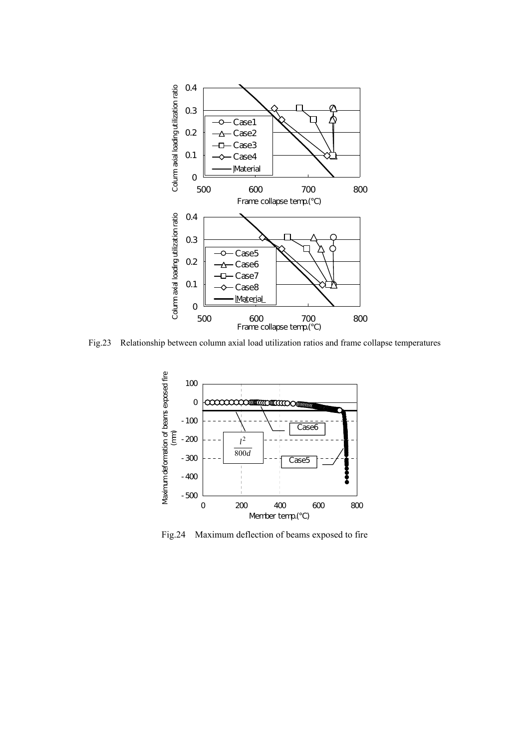

Fig.23 Relationship between column axial load utilization ratios and frame collapse temperatures



Fig.24 Maximum deflection of beams exposed to fire